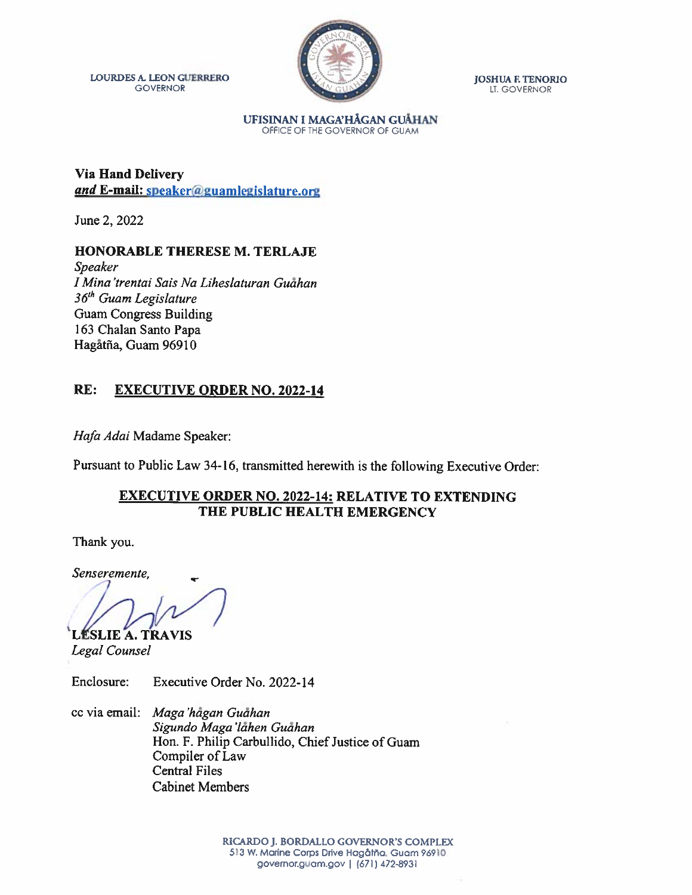LOURDES A LEON GUERRERO JOSHUA E TENORIO GOVERNOR LI. GOVERNOR



GOVERNOR LT. GOVERNOR

UFISINAN I MAGA'HÅGAN GUAHAN OFFICE OF THE GOVERNOR OF GUAM

Via Hand Delivery and E-mail: speaker@guamlegislature.org

June 2, 2022

#### HONORABLE THERESE M. TERLAJE

Speaker I Mina'trentai Sais Na Liheslaturan Guahan 36<sup>th</sup> Guam Legislature Guam Congress Building 163 Chalan Santo Papa Hagåtña, Guam 96910

### RE: EXECUTIVE ORDER NO. 2022-14

Hafa Adai Madame Speaker:

Pursuant to Public Law 34-16, transmitted herewith is the following Executive Order:

#### EXECUTIVE ORDER NO. 2022-14: RELATIVE TO EXTENDING THE PUBLIC HEALTH EMERGENCY

Thank you.

Senseremente,

LÉSLIE A. TRAVIS

Legal Counsel

Enclosure: Executive Order No. 2022-14

cc via email: Maga 'hagan Guahan Sigundo Maga'lahen Guahan Hon. F. Philip Carbullido, Chief Justice of Guam Compiler of Law Central Files Cabinet Members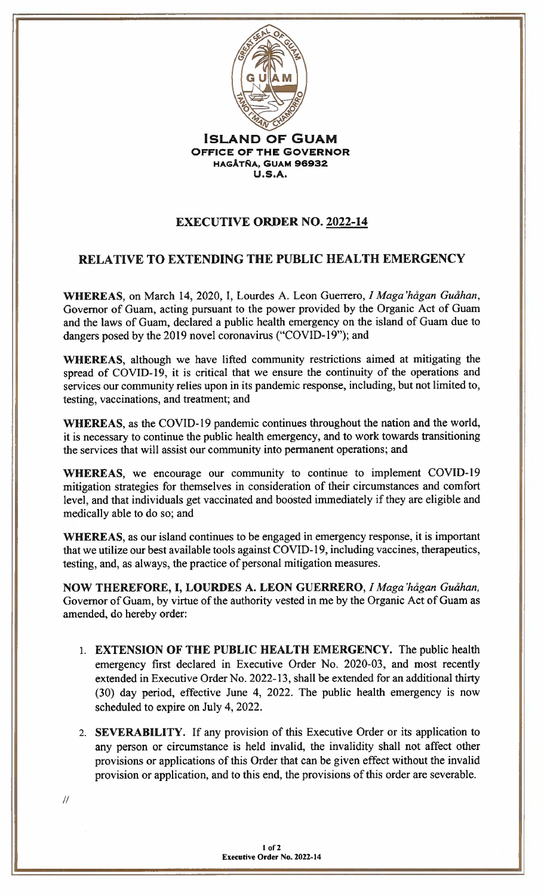

JSLAND OF GUAM OFFIcE OF THE GOVERNOR HAGÅTÑA, GUAM 96932 U.S.A.

# EXECUTIVE ORDER NO. 2022-14

## RELATIVE TO EXTENDING THE PUBLIC HEALTH EMERGENCY

WHEREAS, on March 14, 2020, I, Lourdes A. Leon Guerrero, I Maga 'hågan Guåhan, Governor of Guam, acting pursuant to the power provided by the Organic Act of Guam and the laws of Guam, declared a public health emergency on the island of Guam due to dangers posed by the 2019 novel coronavirus ("COVID-19"); and

WHEREAS, although we have lifted community restrictions aimed at mitigating the spread of COVID-19, it is critical that we ensure the continuity of the operations and services our community relies upon in its pandemic response, including, but not limited to, testing, vaccinations, and treatment; and

WHEREAS, as the COVID-19 pandemic continues throughout the nation and the world. it is necessary to continue the public health emergency, and to work towards transitioning the services that will assist our community into permanent operations; and

WHEREAS, we encourage our community to continue to implement COVID-l9 mitigation strategies for themselves in consideration of their circumstances and comfort level, and that individuals get vaccinated and boosted immediately if they are eligible and medically able to do so; and

WHEREAS, as our island continues to be engaged in emergency response, it is important that we utilize our best available tools against COVID-19, including vaccines, therapeutics, testing, and, as always, the practice of personal mitigation measures.

NOW THEREFORE, I, LOURDES A. LEON GUERRERO, I Maga 'hågan Guåhan, Governor of Guam, by virtue of the authority vested in me by the Organic Act of Guam as amended, do hereby order:

- 1. EXTENSION OF THE PUBLIC HEALTH EMERGENCY. The public health emergency first declared in Executive Order No. 2020-03, and most recently extended in Executive Order No. 2022-13, shall be extended for an additional thirty (30) day period, effective June 4, 2022. The public health emergency is now scheduled to expire on July 4. 2022.
- 2. SEVERABILITY. If any provision of this Executive Order or its application to any person or circumstance is held invalid, the invalidity shall not affect other provisions or applications of this Order that can be given effect without the invalid provision or application, and to this end, the provisions of this order are severable.

'II